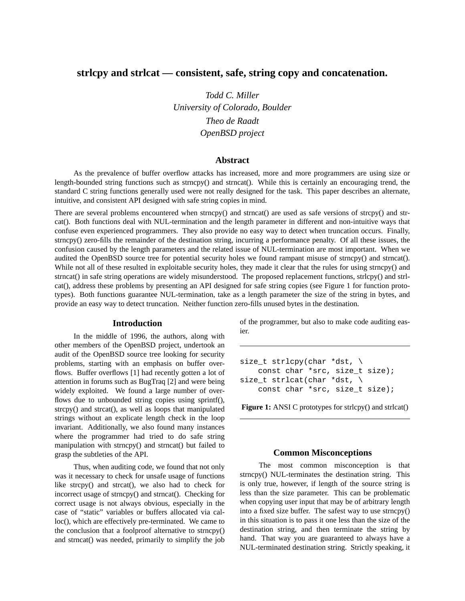# **strlcpy and strlcat — consistent, safe, string copy and concatenation.**

*Todd C. Miller University of Colorado, Boulder Theo de Raadt OpenBSD project*

#### **Abstract**

As the prevalence of buffer overflow attacks has increased, more and more programmers are using size or length-bounded string functions such as strncpy() and strncat(). While this is certainly an encouraging trend, the standard C string functions generally used were not really designed for the task. This paper describes an alternate, intuitive, and consistent API designed with safe string copies in mind.

There are several problems encountered when strncpy() and strncat() are used as safe versions of strcpy() and strcat(). Both functions deal with NUL-termination and the length parameter in different and non-intuitive ways that confuse even experienced programmers. They also provide no easy way to detect when truncation occurs. Finally, strncpy() zero-fills the remainder of the destination string, incurring a performance penalty. Of all these issues, the confusion caused by the length parameters and the related issue of NUL-termination are most important. When we audited the OpenBSD source tree for potential security holes we found rampant misuse of strncpy() and strncat(). While not all of these resulted in exploitable security holes, they made it clear that the rules for using strncpy() and strncat() in safe string operations are widely misunderstood. The proposed replacement functions, strlcpy() and strlcat(), address these problems by presenting an API designed for safe string copies (see Figure 1 for function prototypes). Both functions guarantee NUL-termination, take as a length parameter the size of the string in bytes, and provide an easy way to detect truncation. Neither function zero-fills unused bytes in the destination.

#### **Introduction**

In the middle of 1996, the authors, along with other members of the OpenBSD project, undertook an audit of the OpenBSD source tree looking for security problems, starting with an emphasis on buffer overflows. Buffer overflows [1] had recently gotten a lot of attention in forums such as BugTraq [2] and were being widely exploited. We found a large number of overflows due to unbounded string copies using sprintf(), strcpy() and strcat(), as well as loops that manipulated strings without an explicate length check in the loop invariant. Additionally, we also found many instances where the programmer had tried to do safe string manipulation with strncpy() and strncat() but failed to grasp the subtleties of the API.

Thus, when auditing code, we found that not only was it necessary to check for unsafe usage of functions like strcpy() and strcat(), we also had to check for incorrect usage of strncpy() and strncat(). Checking for correct usage is not always obvious, especially in the case of "static" variables or buffers allocated via calloc(), which are effectively pre-terminated. We came to the conclusion that a foolproof alternative to strncpy() and strncat() was needed, primarily to simplify the job of the programmer, but also to make code auditing easier.

size\_t strlcpy(char \*dst, \ const char \*src, size t size); size\_t strlcat(char \*dst, \ const char \*src, size t size);

**Figure 1:** ANSI C prototypes for strlcpy() and strlcat()

#### **Common Misconceptions**

The most common misconception is that strncpy() NUL-terminates the destination string. This is only true, however, if length of the source string is less than the size parameter. This can be problematic when copying user input that may be of arbitrary length into a fixed size buffer. The safest way to use strncpy() in this situation is to pass it one less than the size of the destination string, and then terminate the string by hand. That way you are guaranteed to always have a NUL-terminated destination string. Strictly speaking, it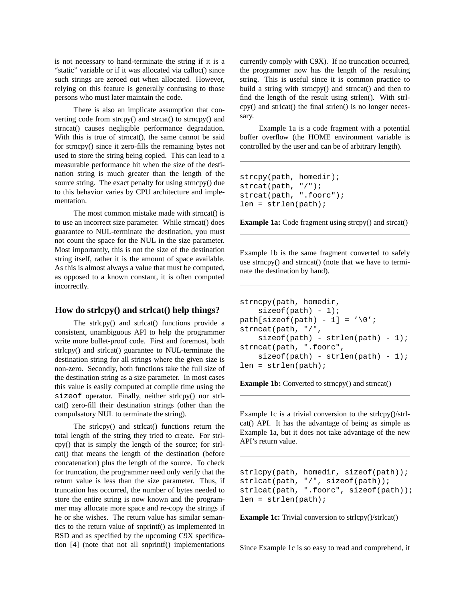is not necessary to hand-terminate the string if it is a "static" variable or if it was allocated via calloc() since such strings are zeroed out when allocated. However, relying on this feature is generally confusing to those persons who must later maintain the code.

There is also an implicate assumption that converting code from strcpy() and strcat() to strncpy() and strncat() causes negligible performance degradation. With this is true of strncat(), the same cannot be said for strncpy() since it zero-fills the remaining bytes not used to store the string being copied. This can lead to a measurable performance hit when the size of the destination string is much greater than the length of the source string. The exact penalty for using strncpy() due to this behavior varies by CPU architecture and implementation.

The most common mistake made with strncat() is to use an incorrect size parameter. While strncat() does guarantee to NUL-terminate the destination, you must not count the space for the NUL in the size parameter. Most importantly, this is not the size of the destination string itself, rather it is the amount of space available. As this is almost always a value that must be computed, as opposed to a known constant, it is often computed incorrectly.

#### **How do strlcpy() and strlcat() help things?**

The strlcpy() and strlcat() functions provide a consistent, unambiguous API to help the programmer write more bullet-proof code. First and foremost, both strlcpy() and strlcat() guarantee to NUL-terminate the destination string for all strings where the given size is non-zero. Secondly, both functions take the full size of the destination string as a size parameter. In most cases this value is easily computed at compile time using the sizeof operator. Finally, neither strlcpy() nor strlcat() zero-fill their destination strings (other than the compulsatory NUL to terminate the string).

The strlcpy() and strlcat() functions return the total length of the string they tried to create. For strlcpy() that is simply the length of the source; for strlcat() that means the length of the destination (before concatenation) plus the length of the source. To check for truncation, the programmer need only verify that the return value is less than the size parameter. Thus, if truncation has occurred, the number of bytes needed to store the entire string is now known and the programmer may allocate more space and re-copy the strings if he or she wishes. The return value has similar semantics to the return value of snprintf() as implemented in BSD and as specified by the upcoming C9X specification [4] (note that not all snprintf() implementations currently comply with C9X). If no truncation occurred, the programmer now has the length of the resulting string. This is useful since it is common practice to build a string with strncpy() and strncat() and then to find the length of the result using strlen(). With strlcpy() and strlcat() the final strlen() is no longer necessary.

Example 1a is a code fragment with a potential buffer overflow (the HOME environment variable is controlled by the user and can be of arbitrary length).

```
strcpy(path, homedir);
strcat(path, "/");
strcat(path, ".foorc");
len = strlen(path);
```
**Example 1a:** Code fragment using strcpy() and strcat()

Example 1b is the same fragment converted to safely use strncpy() and strncat() (note that we have to terminate the destination by hand).

```
strncpy(path, homedir,
   sizeof(path) - 1;
path[sizeof(path) - 1] = '\\0";strncat(path, "/",
   sizeof(path) - strlen(path) - 1);strncat(path, ".foorc",
    sizeof(path) - strlen(path) - 1);len = strlen(path);
```
**Example 1b:** Converted to strncpy() and strncat()

Example 1c is a trivial conversion to the strlcpy()/strlcat() API. It has the advantage of being as simple as Example 1a, but it does not take advantage of the new API's return value.

```
strlcpy(path, homedir, sizeof(path));
strlcat(path, "/", sizeof(path));
strlcat(path, ".foorc", sizeof(path));
len = strlen(path);
```
**Example 1c:** Trivial conversion to strlcpy()/strlcat()

Since Example 1c is so easy to read and comprehend, it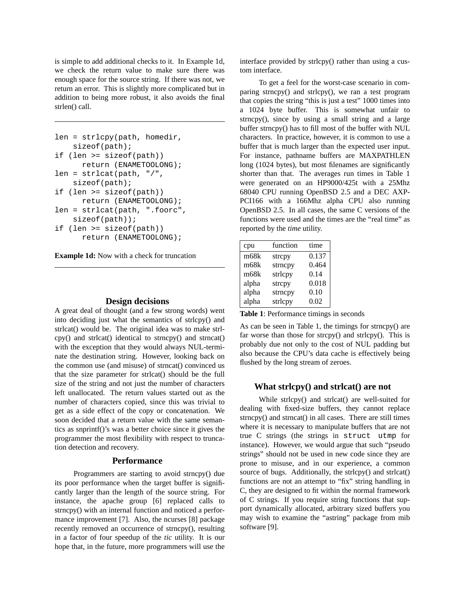is simple to add additional checks to it. In Example 1d, we check the return value to make sure there was enough space for the source string. If there was not, we return an error. This is slightly more complicated but in addition to being more robust, it also avoids the final strlen() call.

```
len = strlcpy(path, homedir,
    sizeof(path);
if (len >= sizeof(path))
      return (ENAMETOOLONG);
len = strlcat(path, "/",sizeof(path);
if (len >= sizeof(path))
      return (ENAMETOOLONG);
len = strlcat(path, ".foorc",
    sizeof(path));
if (len >= sizeof(path))
      return (ENAMETOOLONG);
```
**Example 1d:** Now with a check for truncation

#### **Design decisions**

A great deal of thought (and a few strong words) went into deciding just what the semantics of strlcpy() and strlcat() would be. The original idea was to make strlcpy() and strlcat() identical to strncpy() and strncat() with the exception that they would always NUL-terminate the destination string. However, looking back on the common use (and misuse) of strncat() convinced us that the size parameter for strlcat() should be the full size of the string and not just the number of characters left unallocated. The return values started out as the number of characters copied, since this was trivial to get as a side effect of the copy or concatenation. We soon decided that a return value with the same semantics as snprintf()'s was a better choice since it gives the programmer the most flexibility with respect to truncation detection and recovery.

## **Performance**

Programmers are starting to avoid strncpy() due its poor performance when the target buffer is significantly larger than the length of the source string. For instance, the apache group [6] replaced calls to strncpy() with an internal function and noticed a performance improvement [7]. Also, the ncurses [8] package recently removed an occurrence of strncpy(), resulting in a factor of four speedup of the *tic* utility. It is our hope that, in the future, more programmers will use the interface provided by strlcpy() rather than using a custom interface.

To get a feel for the worst-case scenario in comparing strncpy() and strlcpy(), we ran a test program that copies the string "this is just a test" 1000 times into a 1024 byte buffer. This is somewhat unfair to strncpy(), since by using a small string and a large buffer strncpy() has to fill most of the buffer with NUL characters. In practice, however, it is common to use a buffer that is much larger than the expected user input. For instance, pathname buffers are MAXPATHLEN long (1024 bytes), but most filenames are significantly shorter than that. The averages run times in Table 1 were generated on an HP9000/425t with a 25Mhz 68040 CPU running OpenBSD 2.5 and a DEC AXP-PCI166 with a 166Mhz alpha CPU also running OpenBSD 2.5. In all cases, the same C versions of the functions were used and the times are the "real time" as reported by the *time* utility.

| cpu   | function | time  |
|-------|----------|-------|
| m68k  | strepy   | 0.137 |
| m68k  | strncpy  | 0.464 |
| m68k  | strlcpy  | 0.14  |
| alpha | strcpy   | 0.018 |
| alpha | strncpy  | 0.10  |
| alpha | strlcpy  | 0.02  |

**Table 1**: Performance timings in seconds

As can be seen in Table 1, the timings for strncpy() are far worse than those for strcpy() and strlcpy(). This is probably due not only to the cost of NUL padding but also because the CPU's data cache is effectively being flushed by the long stream of zeroes.

#### **What strlcpy() and strlcat() are not**

While strlcpy() and strlcat() are well-suited for dealing with fixed-size buffers, they cannot replace strncpy() and strncat() in all cases. There are still times where it is necessary to manipulate buffers that are not true C strings (the strings in struct utmp for instance). However, we would argue that such "pseudo strings" should not be used in new code since they are prone to misuse, and in our experience, a common source of bugs. Additionally, the strlcpy() and strlcat() functions are not an attempt to "fix" string handling in C, they are designed to fit within the normal framework of C strings. If you require string functions that support dynamically allocated, arbitrary sized buffers you may wish to examine the "astring" package from mib software [9].